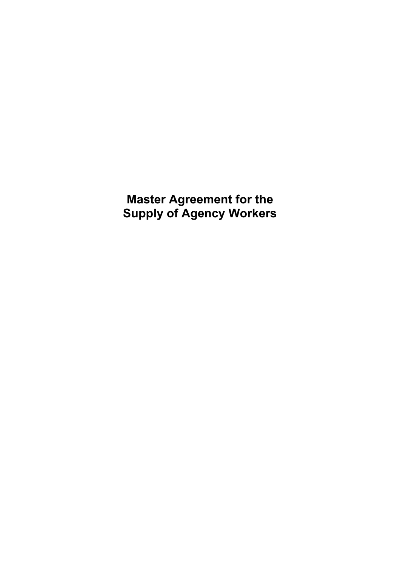**Master Agreement for the Supply of Agency Workers**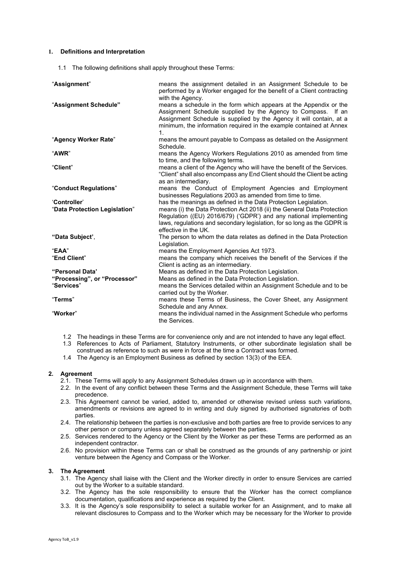## **1. Definitions and Interpretation**

1.1 The following definitions shall apply throughout these Terms:

| "Assignment"                  | means the assignment detailed in an Assignment Schedule to be<br>performed by a Worker engaged for the benefit of a Client contracting<br>with the Agency.                                                                                                                            |
|-------------------------------|---------------------------------------------------------------------------------------------------------------------------------------------------------------------------------------------------------------------------------------------------------------------------------------|
| "Assignment Schedule"         | means a schedule in the form which appears at the Appendix or the<br>Assignment Schedule supplied by the Agency to Compass. If an<br>Assignment Schedule is supplied by the Agency it will contain, at a<br>minimum, the information required in the example contained at Annex<br>1. |
| "Agency Worker Rate"          | means the amount payable to Compass as detailed on the Assignment<br>Schedule.                                                                                                                                                                                                        |
| "AWR"                         | means the Agency Workers Regulations 2010 as amended from time<br>to time, and the following terms.                                                                                                                                                                                   |
| "Client"                      | means a client of the Agency who will have the benefit of the Services.<br>"Client" shall also encompass any End Client should the Client be acting<br>as an intermediary.                                                                                                            |
| "Conduct Regulations"         | means the Conduct of Employment Agencies and Employment<br>businesses Regulations 2003 as amended from time to time.                                                                                                                                                                  |
| 'Controller'                  | has the meanings as defined in the Data Protection Legislation.                                                                                                                                                                                                                       |
| "Data Protection Legislation" | means (i) the Data Protection Act 2018 (ii) the General Data Protection<br>Regulation ((EU) 2016/679) ('GDPR') and any national implementing<br>laws, regulations and secondary legislation, for so long as the GDPR is<br>effective in the UK.                                       |
| "Data Subject',               | The person to whom the data relates as defined in the Data Protection<br>Legislation.                                                                                                                                                                                                 |
| "EAA"                         | means the Employment Agencies Act 1973.                                                                                                                                                                                                                                               |
| "End Client"                  | means the company which receives the benefit of the Services if the<br>Client is acting as an intermediary.                                                                                                                                                                           |
| "Personal Data"               | Means as defined in the Data Protection Legislation.                                                                                                                                                                                                                                  |
| "Processing", or "Processor"  | Means as defined in the Data Protection Legislation.                                                                                                                                                                                                                                  |
| "Services"                    | means the Services detailed within an Assignment Schedule and to be<br>carried out by the Worker.                                                                                                                                                                                     |
| "Terms"                       | means these Terms of Business, the Cover Sheet, any Assignment<br>Schedule and any Annex.                                                                                                                                                                                             |
| "Worker"                      | means the individual named in the Assignment Schedule who performs<br>the Services.                                                                                                                                                                                                   |

- 1.2 The headings in these Terms are for convenience only and are not intended to have any legal effect.
- 1.3 References to Acts of Parliament, Statutory Instruments, or other subordinate legislation shall be construed as reference to such as were in force at the time a Contract was formed.
- 1.4 The Agency is an Employment Business as defined by section 13(3) of the EEA.

## **2. Agreement**

- 2.1. These Terms will apply to any Assignment Schedules drawn up in accordance with them.
- 2.2. In the event of any conflict between these Terms and the Assignment Schedule, these Terms will take precedence.
- 2.3. This Agreement cannot be varied, added to, amended or otherwise revised unless such variations, amendments or revisions are agreed to in writing and duly signed by authorised signatories of both parties.
- 2.4. The relationship between the parties is non-exclusive and both parties are free to provide services to any other person or company unless agreed separately between the parties.
- 2.5. Services rendered to the Agency or the Client by the Worker as per these Terms are performed as an independent contractor.
- 2.6. No provision within these Terms can or shall be construed as the grounds of any partnership or joint venture between the Agency and Compass or the Worker.

## **3. The Agreement**

- 3.1. The Agency shall liaise with the Client and the Worker directly in order to ensure Services are carried out by the Worker to a suitable standard.
- 3.2. The Agency has the sole responsibility to ensure that the Worker has the correct compliance documentation, qualifications and experience as required by the Client.
- 3.3. It is the Agency's sole responsibility to select a suitable worker for an Assignment, and to make all relevant disclosures to Compass and to the Worker which may be necessary for the Worker to provide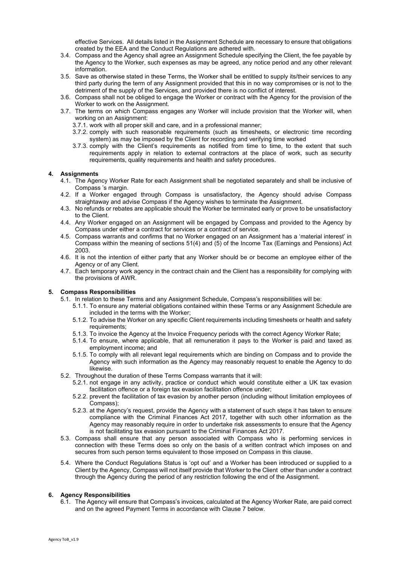effective Services. All details listed in the Assignment Schedule are necessary to ensure that obligations created by the EEA and the Conduct Regulations are adhered with.

- 3.4. Compass and the Agency shall agree an Assignment Schedule specifying the Client, the fee payable by the Agency to the Worker, such expenses as may be agreed, any notice period and any other relevant information.
- 3.5. Save as otherwise stated in these Terms, the Worker shall be entitled to supply its/their services to any third party during the term of any Assignment provided that this in no way compromises or is not to the detriment of the supply of the Services, and provided there is no conflict of interest.
- 3.6. Compass shall not be obliged to engage the Worker or contract with the Agency for the provision of the Worker to work on the Assignment.
- 3.7. The terms on which Compass engages any Worker will include provision that the Worker will, when working on an Assignment:
	- 3.7.1. work with all proper skill and care, and in a professional manner;
	- 3.7.2. comply with such reasonable requirements (such as timesheets, or electronic time recording system) as may be imposed by the Client for recording and verifying time worked
	- 3.7.3. comply with the Client's requirements as notified from time to time, to the extent that such requirements apply in relation to external contractors at the place of work, such as security requirements, quality requirements and health and safety procedures.

# **4. Assignments**

- 4.1. The Agency Worker Rate for each Assignment shall be negotiated separately and shall be inclusive of Compass 's margin.
- 4.2. If a Worker engaged through Compass is unsatisfactory, the Agency should advise Compass straightaway and advise Compass if the Agency wishes to terminate the Assignment.
- 4.3. No refunds or rebates are applicable should the Worker be terminated early or prove to be unsatisfactory to the Client.
- 4.4. Any Worker engaged on an Assignment will be engaged by Compass and provided to the Agency by Compass under either a contract for services or a contract of service.
- 4.5. Compass warrants and confirms that no Worker engaged on an Assignment has a 'material interest' in Compass within the meaning of sections 51(4) and (5) of the Income Tax (Earnings and Pensions) Act 2003.
- 4.6. It is not the intention of either party that any Worker should be or become an employee either of the Agency or of any Client.
- 4.7. Each temporary work agency in the contract chain and the Client has a responsibility for complying with the provisions of AWR.

## **5. Compass Responsibilities**

- 5.1. In relation to these Terms and any Assignment Schedule, Compass's responsibilities will be:
	- 5.1.1. To ensure any material obligations contained within these Terms or any Assignment Schedule are included in the terms with the Worker;
	- 5.1.2. To advise the Worker on any specific Client requirements including timesheets or health and safety requirements;
	- 5.1.3. To invoice the Agency at the Invoice Frequency periods with the correct Agency Worker Rate;
	- 5.1.4. To ensure, where applicable, that all remuneration it pays to the Worker is paid and taxed as employment income; and
	- 5.1.5. To comply with all relevant legal requirements which are binding on Compass and to provide the Agency with such information as the Agency may reasonably request to enable the Agency to do likewise.
- 5.2. Throughout the duration of these Terms Compass warrants that it will:
	- 5.2.1. not engage in any activity, practice or conduct which would constitute either a UK tax evasion facilitation offence or a foreign tax evasion facilitation offence under;
	- 5.2.2. prevent the facilitation of tax evasion by another person (including without limitation employees of Compass);
	- 5.2.3. at the Agency's request, provide the Agency with a statement of such steps it has taken to ensure compliance with the Criminal Finances Act 2017, together with such other information as the Agency may reasonably require in order to undertake risk assessments to ensure that the Agency is not facilitating tax evasion pursuant to the Criminal Finances Act 2017.
- 5.3. Compass shall ensure that any person associated with Compass who is performing services in connection with these Terms does so only on the basis of a written contract which imposes on and secures from such person terms equivalent to those imposed on Compass in this clause.
- 5.4. Where the Conduct Regulations Status is 'opt out' and a Worker has been introduced or supplied to a Client by the Agency, Compass will not itself provide that Worker to the Client other than under a contract through the Agency during the period of any restriction following the end of the Assignment.

## **6. Agency Responsibilities**

6.1. The Agency will ensure that Compass's invoices, calculated at the Agency Worker Rate, are paid correct and on the agreed Payment Terms in accordance with Clause 7 below.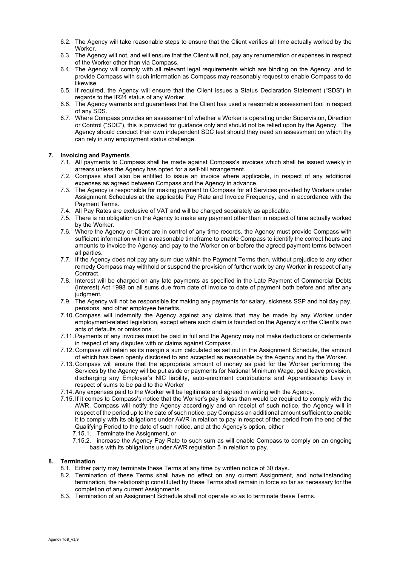- 6.2. The Agency will take reasonable steps to ensure that the Client verifies all time actually worked by the Worker.
- 6.3. The Agency will not, and will ensure that the Client will not, pay any renumeration or expenses in respect of the Worker other than via Compass.
- 6.4. The Agency will comply with all relevant legal requirements which are binding on the Agency, and to provide Compass with such information as Compass may reasonably request to enable Compass to do likewise.
- 6.5. If required, the Agency will ensure that the Client issues a Status Declaration Statement ("SDS") in regards to the IR24 status of any Worker.
- 6.6. The Agency warrants and guarantees that the Client has used a reasonable assessment tool in respect of any SDS.
- 6.7. Where Compass provides an assessment of whether a Worker is operating under Supervision, Direction or Control ("SDC"), this is provided for guidance only and should not be relied upon by the Agency. The Agency should conduct their own independent SDC test should they need an assessment on which thy can rely in any employment status challenge.

## **7. Invoicing and Payments**

- 7.1. All payments to Compass shall be made against Compass's invoices which shall be issued weekly in arrears unless the Agency has opted for a self-bill arrangement.
- 7.2. Compass shall also be entitled to issue an invoice where applicable, in respect of any additional expenses as agreed between Compass and the Agency in advance.
- 7.3. The Agency is responsible for making payment to Compass for all Services provided by Workers under Assignment Schedules at the applicable Pay Rate and Invoice Frequency, and in accordance with the Payment Terms.
- 7.4. All Pay Rates are exclusive of VAT and will be charged separately as applicable.
- 7.5. There is no obligation on the Agency to make any payment other than in respect of time actually worked by the Worker.
- 7.6. Where the Agency or Client are in control of any time records, the Agency must provide Compass with sufficient information within a reasonable timeframe to enable Compass to identify the correct hours and amounts to invoice the Agency and pay to the Worker on or before the agreed payment terms between all parties.
- 7.7. If the Agency does not pay any sum due within the Payment Terms then, without prejudice to any other remedy Compass may withhold or suspend the provision of further work by any Worker in respect of any Contract.
- 7.8. Interest will be charged on any late payments as specified in the Late Payment of Commercial Debts (Interest) Act 1998 on all sums due from date of invoice to date of payment both before and after any judgment.
- 7.9. The Agency will not be responsible for making any payments for salary, sickness SSP and holiday pay, pensions, and other employee benefits.
- 7.10. Compass will indemnify the Agency against any claims that may be made by any Worker under employment-related legislation, except where such claim is founded on the Agency's or the Client's own acts of defaults or omissions.
- 7.11.Payments of any invoices must be paid in full and the Agency may not make deductions or deferments in respect of any disputes with or claims against Compass.
- 7.12. Compass will retain as its margin a sum calculated as set out in the Assignment Schedule, the amount of which has been openly disclosed to and accepted as reasonable by the Agency and by the Worker.
- 7.13. Compass will ensure that the appropriate amount of money as paid for the Worker performing the Services by the Agency will be put aside or payments for National Minimum Wage, paid leave provision, discharging any Employer's NIC liability, auto-enrolment contributions and Apprenticeship Levy in respect of sums to be paid to the Worker
- 7.14.Any expenses paid to the Worker will be legitimate and agreed in writing with the Agency.
- 7.15. If it comes to Compass's notice that the Worker's pay is less than would be required to comply with the AWR, Compass will notify the Agency accordingly and on receipt of such notice, the Agency will in respect of the period up to the date of such notice, pay Compass an additional amount sufficient to enable it to comply with its obligations under AWR in relation to pay in respect of the period from the end of the Qualifying Period to the date of such notice, and at the Agency's option, either
	- 7.15.1. Terminate the Assignment, or
	- 7.15.2. increase the Agency Pay Rate to such sum as will enable Compass to comply on an ongoing basis with its obligations under AWR regulation 5 in relation to pay.

## **8. Termination**

- 8.1. Either party may terminate these Terms at any time by written notice of 30 days.
- 8.2. Termination of these Terms shall have no effect on any current Assignment, and notwithstanding termination, the relationship constituted by these Terms shall remain in force so far as necessary for the completion of any current Assignments
- 8.3. Termination of an Assignment Schedule shall not operate so as to terminate these Terms.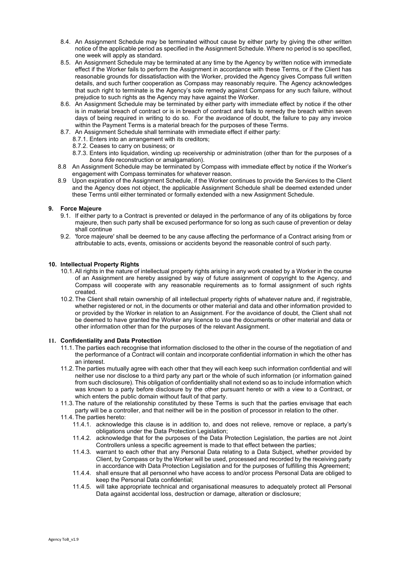- 8.4. An Assignment Schedule may be terminated without cause by either party by giving the other written notice of the applicable period as specified in the Assignment Schedule. Where no period is so specified, one week will apply as standard.
- 8.5. An Assignment Schedule may be terminated at any time by the Agency by written notice with immediate effect if the Worker fails to perform the Assignment in accordance with these Terms, or if the Client has reasonable grounds for dissatisfaction with the Worker, provided the Agency gives Compass full written details, and such further cooperation as Compass may reasonably require. The Agency acknowledges that such right to terminate is the Agency's sole remedy against Compass for any such failure, without prejudice to such rights as the Agency may have against the Worker.
- 8.6. An Assignment Schedule may be terminated by either party with immediate effect by notice if the other is in material breach of contract or is in breach of contract and fails to remedy the breach within seven days of being required in writing to do so. For the avoidance of doubt, the failure to pay any invoice within the Payment Terms is a material breach for the purposes of these Terms.
- 8.7. An Assignment Schedule shall terminate with immediate effect if either party:
	- 8.7.1. Enters into an arrangement with its creditors;
	- 8.7.2. Ceases to carry on business; or
	- 8.7.3. Enters into liquidation, winding up receivership or administration (other than for the purposes of a *bona fide* reconstruction or amalgamation).
- 8.8 An Assignment Schedule may be terminated by Compass with immediate effect by notice if the Worker's engagement with Compass terminates for whatever reason.
- 8.9 Upon expiration of the Assignment Schedule, if the Worker continues to provide the Services to the Client and the Agency does not object, the applicable Assignment Schedule shall be deemed extended under these Terms until either terminated or formally extended with a new Assignment Schedule.

# **9. Force Majeure**

- 9.1. If either party to a Contract is prevented or delayed in the performance of any of its obligations by force majeure, then such party shall be excused performance for so long as such cause of prevention or delay shall continue
- 9.2. 'force majeure' shall be deemed to be any cause affecting the performance of a Contract arising from or attributable to acts, events, omissions or accidents beyond the reasonable control of such party.

## **10. Intellectual Property Rights**

- 10.1.All rights in the nature of intellectual property rights arising in any work created by a Worker in the course of an Assignment are hereby assigned by way of future assignment of copyright to the Agency, and Compass will cooperate with any reasonable requirements as to formal assignment of such rights created.
- 10.2. The Client shall retain ownership of all intellectual property rights of whatever nature and, if registrable, whether registered or not, in the documents or other material and data and other information provided to or provided by the Worker in relation to an Assignment. For the avoidance of doubt, the Client shall not be deemed to have granted the Worker any licence to use the documents or other material and data or other information other than for the purposes of the relevant Assignment.

# **11. Confidentiality and Data Protection**

- 11.1. The parties each recognise that information disclosed to the other in the course of the negotiation of and the performance of a Contract will contain and incorporate confidential information in which the other has an interest.
- 11.2. The parties mutually agree with each other that they will each keep such information confidential and will neither use nor disclose to a third party any part or the whole of such information (or information gained from such disclosure). This obligation of confidentiality shall not extend so as to include information which was known to a party before disclosure by the other pursuant hereto or with a view to a Contract, or which enters the public domain without fault of that party.
- 11.3. The nature of the relationship constituted by these Terms is such that the parties envisage that each party will be a controller, and that neither will be in the position of processor in relation to the other.
- 11.4. The parties hereto:
	- 11.4.1. acknowledge this clause is in addition to, and does not relieve, remove or replace, a party's obligations under the Data Protection Legislation;
	- 11.4.2. acknowledge that for the purposes of the Data Protection Legislation, the parties are not Joint Controllers unless a specific agreement is made to that effect between the parties;
	- 11.4.3. warrant to each other that any Personal Data relating to a Data Subject, whether provided by Client, by Compass or by the Worker will be used, processed and recorded by the receiving party in accordance with Data Protection Legislation and for the purposes of fulfilling this Agreement;
	- 11.4.4. shall ensure that all personnel who have access to and/or process Personal Data are obliged to keep the Personal Data confidential;
	- 11.4.5. will take appropriate technical and organisational measures to adequately protect all Personal Data against accidental loss, destruction or damage, alteration or disclosure;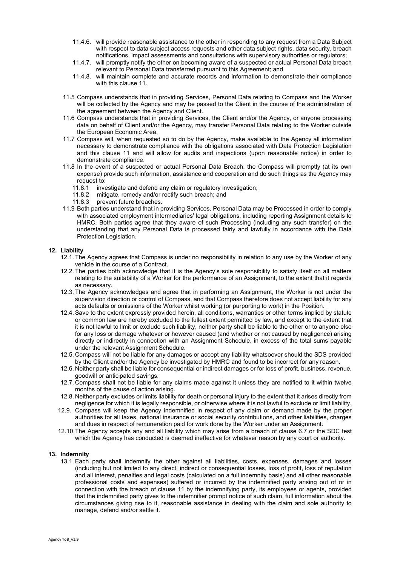- 11.4.6. will provide reasonable assistance to the other in responding to any request from a Data Subject with respect to data subject access requests and other data subject rights, data security, breach notifications, impact assessments and consultations with supervisory authorities or regulators;
- 11.4.7. will promptly notify the other on becoming aware of a suspected or actual Personal Data breach relevant to Personal Data transferred pursuant to this Agreement; and
- 11.4.8. will maintain complete and accurate records and information to demonstrate their compliance with this clause 11.
- 11.5 Compass understands that in providing Services, Personal Data relating to Compass and the Worker will be collected by the Agency and may be passed to the Client in the course of the administration of the agreement between the Agency and Client.
- 11.6 Compass understands that in providing Services, the Client and/or the Agency, or anyone processing data on behalf of Client and/or the Agency, may transfer Personal Data relating to the Worker outside the European Economic Area.
- 11.7 Compass will, when requested so to do by the Agency, make available to the Agency all information necessary to demonstrate compliance with the obligations associated with Data Protection Legislation and this clause 11 and will allow for audits and inspections (upon reasonable notice) in order to demonstrate compliance.
- 11.8 In the event of a suspected or actual Personal Data Breach, the Compass will promptly (at its own expense) provide such information, assistance and cooperation and do such things as the Agency may request to:
	- 11.8.1 investigate and defend any claim or regulatory investigation;
	- 11.8.2 mitigate, remedy and/or rectify such breach; and
	- 11.8.3 prevent future breaches.
- 11.9 Both parties understand that in providing Services, Personal Data may be Processed in order to comply with associated employment intermediaries' legal obligations, including reporting Assignment details to HMRC. Both parties agree that they aware of such Processing (including any such transfer) on the understanding that any Personal Data is processed fairly and lawfully in accordance with the Data Protection Legislation.

## **12. Liability**

- 12.1. The Agency agrees that Compass is under no responsibility in relation to any use by the Worker of any vehicle in the course of a Contract.
- 12.2. The parties both acknowledge that it is the Agency's sole responsibility to satisfy itself on all matters relating to the suitability of a Worker for the performance of an Assignment, to the extent that it regards as necessary.
- 12.3. The Agency acknowledges and agree that in performing an Assignment, the Worker is not under the supervision direction or control of Compass, and that Compass therefore does not accept liability for any acts defaults or omissions of the Worker whilst working (or purporting to work) in the Position.
- 12.4.Save to the extent expressly provided herein, all conditions, warranties or other terms implied by statute or common law are hereby excluded to the fullest extent permitted by law, and except to the extent that it is not lawful to limit or exclude such liability, neither party shall be liable to the other or to anyone else for any loss or damage whatever or however caused (and whether or not caused by negligence) arising directly or indirectly in connection with an Assignment Schedule, in excess of the total sums payable under the relevant Assignment Schedule.
- 12.5. Compass will not be liable for any damages or accept any liability whatsoever should the SDS provided by the Client and/or the Agency be investigated by HMRC and found to be incorrect for any reason.
- 12.6. Neither party shall be liable for consequential or indirect damages or for loss of profit, business, revenue, goodwill or anticipated savings.
- 12.7. Compass shall not be liable for any claims made against it unless they are notified to it within twelve months of the cause of action arising.
- 12.8. Neither party excludes or limits liability for death or personal injury to the extent that it arises directly from negligence for which it is legally responsible, or otherwise where it is not lawful to exclude or limit liability.
- 12.9. Compass will keep the Agency indemnified in respect of any claim or demand made by the proper authorities for all taxes, national insurance or social security contributions, and other liabilities, charges and dues in respect of remuneration paid for work done by the Worker under an Assignment.
- 12.10.The Agency accepts any and all liability which may arise from a breach of clause 6.7 or the SDC test which the Agency has conducted is deemed ineffective for whatever reason by any court or authority.

#### **13. Indemnity**

13.1.Each party shall indemnify the other against all liabilities, costs, expenses, damages and losses (including but not limited to any direct, indirect or consequential losses, loss of profit, loss of reputation and all interest, penalties and legal costs (calculated on a full indemnity basis) and all other reasonable professional costs and expenses) suffered or incurred by the indemnified party arising out of or in connection with the breach of clause 11 by the indemnifying party, its employees or agents, provided that the indemnified party gives to the indemnifier prompt notice of such claim, full information about the circumstances giving rise to it, reasonable assistance in dealing with the claim and sole authority to manage, defend and/or settle it.